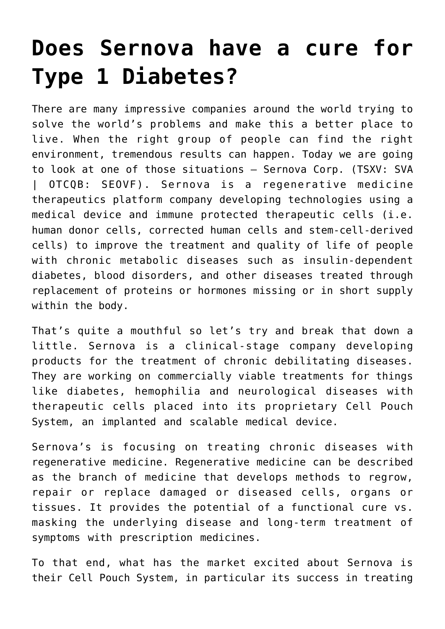## **[Does Sernova have a cure for](https://investorintel.com/markets/biotech-healthcare/biotech-intel/does-sernova-have-a-cure-for-type-1-diabetes/) [Type 1 Diabetes?](https://investorintel.com/markets/biotech-healthcare/biotech-intel/does-sernova-have-a-cure-for-type-1-diabetes/)**

There are many impressive companies around the world trying to solve the world's problems and make this a better place to live. When the right group of people can find the right environment, tremendous results can happen. Today we are going to look at one of those situations – [Sernova Corp.](https://www.sernova.com/) (TSXV: SVA | OTCQB: SEOVF). Sernova is a regenerative medicine therapeutics platform company developing technologies using a medical device and immune protected therapeutic cells (i.e. human donor cells, corrected human cells and stem-cell-derived cells) to improve the treatment and quality of life of people with chronic metabolic diseases such as insulin-dependent diabetes, blood disorders, and other diseases treated through replacement of proteins or hormones missing or in short supply within the body.

That's quite a mouthful so let's try and break that down a little. Sernova is a clinical-stage company developing products for the treatment of chronic debilitating diseases. They are working on commercially viable treatments for things like diabetes, hemophilia and neurological diseases with therapeutic cells placed into its proprietary Cell Pouch System, an implanted and scalable medical device.

Sernova's is focusing on treating chronic diseases with regenerative medicine. Regenerative medicine can be described as the branch of medicine that develops methods to regrow, repair or replace damaged or diseased cells, organs or tissues. It provides the potential of a functional cure vs. masking the underlying disease and long-term treatment of symptoms with prescription medicines.

To that end, what has the market excited about Sernova is their Cell Pouch System, in particular its success in treating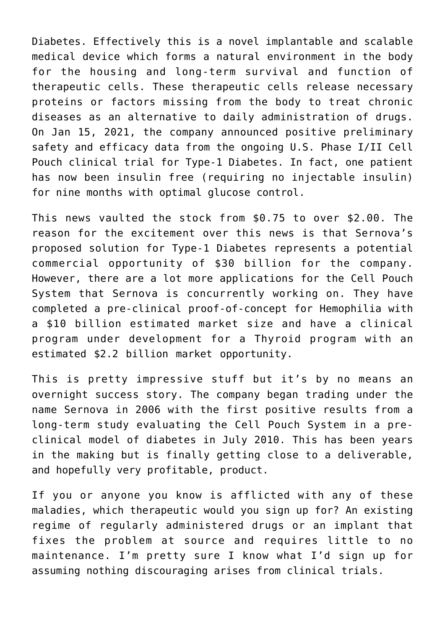Diabetes. Effectively this is a novel implantable and scalable medical device which forms a natural environment in the body for the housing and long-term survival and function of therapeutic cells. These therapeutic cells release necessary proteins or factors missing from the body to treat chronic diseases as an alternative to daily administration of drugs. On Jan 15, 2021, the [company announced positive preliminary](https://www.thenewswire.com/press-releases/1A8vFw4YY-sernova-principal-investigator-presents-additional-positive-preliminary-safety-and-efficacy-data-from-ongoing-us-phase-i-ii-cell-pouch-clinical-trial-for-type-1-diabetes.html) [safety and efficacy data](https://www.thenewswire.com/press-releases/1A8vFw4YY-sernova-principal-investigator-presents-additional-positive-preliminary-safety-and-efficacy-data-from-ongoing-us-phase-i-ii-cell-pouch-clinical-trial-for-type-1-diabetes.html) from the ongoing U.S. Phase I/II Cell Pouch clinical trial for Type-1 Diabetes. In fact, one patient has now been insulin free (requiring no injectable insulin) for nine months with optimal glucose control.

This news vaulted the stock from \$0.75 to over \$2.00. The reason for the excitement over this news is that Sernova's proposed solution for Type-1 Diabetes represents a potential commercial opportunity of \$30 billion for the company. However, there are a lot more applications for the Cell Pouch System that Sernova is concurrently working on. They have completed a pre-clinical proof-of-concept for Hemophilia with a \$10 billion estimated market size and have a clinical program under development for a Thyroid program with an estimated \$2.2 billion market opportunity.

This is pretty impressive stuff but it's by no means an overnight success story. The company began trading under the name Sernova in 2006 with the first positive results from a long-term study evaluating the Cell Pouch System in a preclinical model of diabetes in July 2010. This has been years in the making but is finally getting close to a deliverable, and hopefully very profitable, product.

If you or anyone you know is afflicted with any of these maladies, which therapeutic would you sign up for? An existing regime of regularly administered drugs or an implant that fixes the problem at source and requires little to no maintenance. I'm pretty sure I know what I'd sign up for assuming nothing discouraging arises from clinical trials.